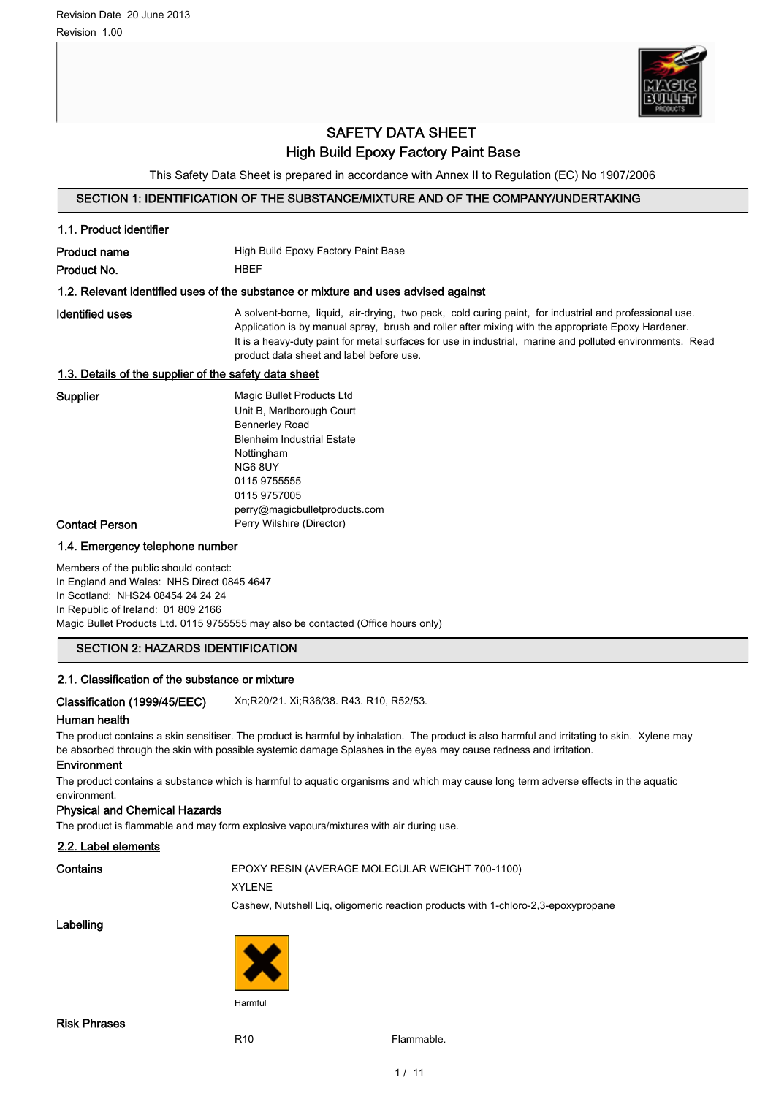

# SAFETY DATA SHEET High Build Epoxy Factory Paint Base

This Safety Data Sheet is prepared in accordance with Annex II to Regulation (EC) No 1907/2006

# SECTION 1: IDENTIFICATION OF THE SUBSTANCE/MIXTURE AND OF THE COMPANY/UNDERTAKING

| 1.1. Product identifier                                                                                                                                         |                                                                                                                                                                                                                                                                                                                                                                       |
|-----------------------------------------------------------------------------------------------------------------------------------------------------------------|-----------------------------------------------------------------------------------------------------------------------------------------------------------------------------------------------------------------------------------------------------------------------------------------------------------------------------------------------------------------------|
| <b>Product name</b>                                                                                                                                             | High Build Epoxy Factory Paint Base                                                                                                                                                                                                                                                                                                                                   |
| Product No.                                                                                                                                                     | <b>HBEF</b>                                                                                                                                                                                                                                                                                                                                                           |
|                                                                                                                                                                 | 1.2. Relevant identified uses of the substance or mixture and uses advised against                                                                                                                                                                                                                                                                                    |
| <b>Identified uses</b>                                                                                                                                          | A solvent-borne, liquid, air-drying, two pack, cold curing paint, for industrial and professional use.<br>Application is by manual spray, brush and roller after mixing with the appropriate Epoxy Hardener.<br>It is a heavy-duty paint for metal surfaces for use in industrial, marine and polluted environments. Read<br>product data sheet and label before use. |
| 1.3. Details of the supplier of the safety data sheet                                                                                                           |                                                                                                                                                                                                                                                                                                                                                                       |
| <b>Supplier</b><br>Contact Person                                                                                                                               | Magic Bullet Products Ltd<br>Unit B, Marlborough Court<br><b>Bennerley Road</b><br><b>Blenheim Industrial Estate</b><br>Nottingham<br>NG68UY<br>0115 9755555<br>0115 9757005<br>perry@magicbulletproducts.com<br>Perry Wilshire (Director)                                                                                                                            |
| 1.4. Emergency telephone number                                                                                                                                 |                                                                                                                                                                                                                                                                                                                                                                       |
| Members of the public should contact:<br>In England and Wales: NHS Direct 0845 4647<br>In Scotland: NHS24 08454 24 24 24<br>In Republic of Ireland: 01 809 2166 | Magic Bullet Products Ltd. 0115 9755555 may also be contacted (Office hours only)                                                                                                                                                                                                                                                                                     |
| <b>SECTION 2: HAZARDS IDENTIFICATION</b>                                                                                                                        |                                                                                                                                                                                                                                                                                                                                                                       |
| 2.1. Classification of the substance or mixture                                                                                                                 |                                                                                                                                                                                                                                                                                                                                                                       |
| Classification (1999/45/EEC)<br>Human health                                                                                                                    | Xn;R20/21. Xi;R36/38. R43. R10, R52/53.                                                                                                                                                                                                                                                                                                                               |

The product contains a skin sensitiser. The product is harmful by inhalation. The product is also harmful and irritating to skin. Xylene may be absorbed through the skin with possible systemic damage Splashes in the eyes may cause redness and irritation.

## Environment

The product contains a substance which is harmful to aquatic organisms and which may cause long term adverse effects in the aquatic environment.

#### Physical and Chemical Hazards

The product is flammable and may form explosive vapours/mixtures with air during use.

# 2.2. Label elements

# Contains EPOXY RESIN (AVERAGE MOLECULAR WEIGHT 700-1100)

#### XYLENE

Cashew, Nutshell Liq, oligomeric reaction products with 1-chloro-2,3-epoxypropane

Labelling



R<sub>10</sub> Flammable.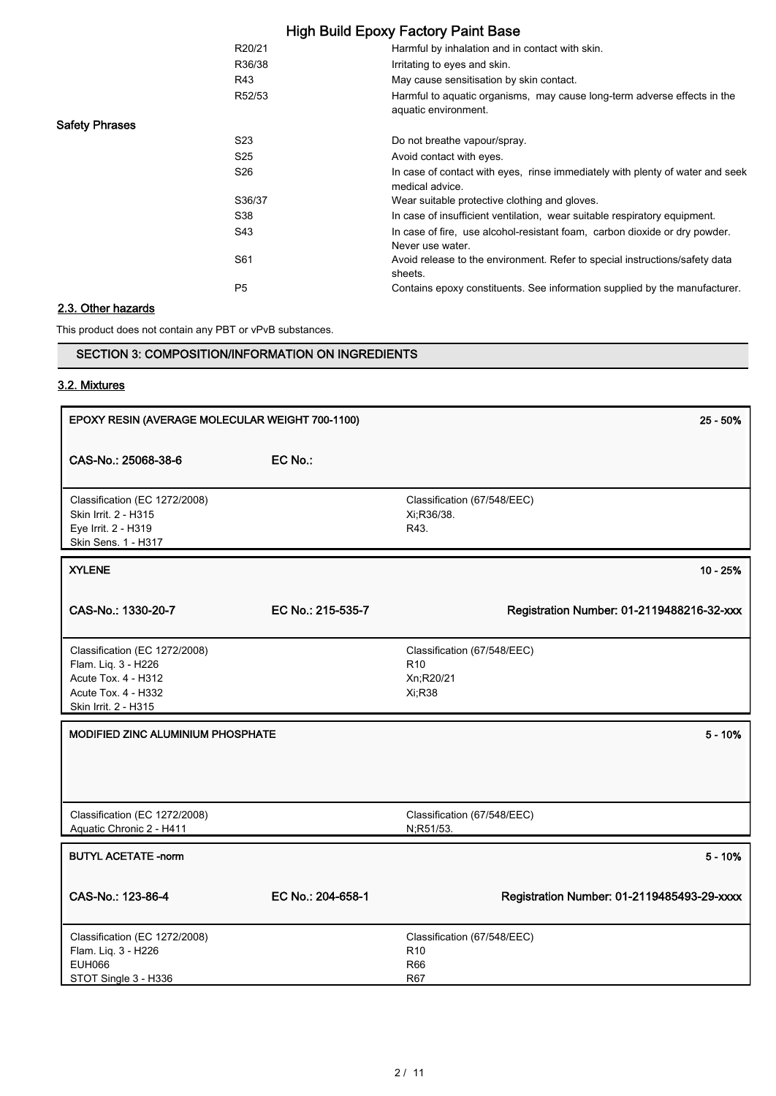|                       | R20/21          | Harmful by inhalation and in contact with skin.                                                  |
|-----------------------|-----------------|--------------------------------------------------------------------------------------------------|
|                       | R36/38          | Irritating to eyes and skin.                                                                     |
|                       | R43             | May cause sensitisation by skin contact.                                                         |
|                       | R52/53          | Harmful to aquatic organisms, may cause long-term adverse effects in the<br>aquatic environment. |
| <b>Safety Phrases</b> |                 |                                                                                                  |
|                       | S <sub>23</sub> | Do not breathe vapour/spray.                                                                     |
|                       | S <sub>25</sub> | Avoid contact with eyes.                                                                         |
|                       | S <sub>26</sub> | In case of contact with eyes, rinse immediately with plenty of water and seek<br>medical advice. |
|                       | S36/37          | Wear suitable protective clothing and gloves.                                                    |
|                       | S38             | In case of insufficient ventilation, wear suitable respiratory equipment.                        |
|                       | S43             | In case of fire, use alcohol-resistant foam, carbon dioxide or dry powder.<br>Never use water.   |
|                       | S61             | Avoid release to the environment. Refer to special instructions/safety data<br>sheets.           |
|                       | P <sub>5</sub>  | Contains epoxy constituents. See information supplied by the manufacturer.                       |
|                       |                 |                                                                                                  |

# 2.3. Other hazards

This product does not contain any PBT or vPvB substances.

# SECTION 3: COMPOSITION/INFORMATION ON INGREDIENTS

# 3.2. Mixtures

| EPOXY RESIN (AVERAGE MOLECULAR WEIGHT 700-1100)                                                                            | 25 - 50%          |                                                                            |
|----------------------------------------------------------------------------------------------------------------------------|-------------------|----------------------------------------------------------------------------|
| CAS-No.: 25068-38-6                                                                                                        | EC No.:           |                                                                            |
| Classification (EC 1272/2008)<br>Skin Irrit. 2 - H315<br>Eye Irrit. 2 - H319<br>Skin Sens. 1 - H317                        |                   | Classification (67/548/EEC)<br>Xi, R36/38.<br>R43.                         |
| <b>XYLENE</b>                                                                                                              |                   | $10 - 25%$                                                                 |
| CAS-No.: 1330-20-7                                                                                                         | EC No.: 215-535-7 | Registration Number: 01-2119488216-32-xxx                                  |
| Classification (EC 1272/2008)<br>Flam. Liq. 3 - H226<br>Acute Tox. 4 - H312<br>Acute Tox. 4 - H332<br>Skin Irrit. 2 - H315 |                   | Classification (67/548/EEC)<br>R <sub>10</sub><br>Xn;R20/21<br>Xi, R38     |
| <b>MODIFIED ZINC ALUMINIUM PHOSPHATE</b>                                                                                   |                   | $5 - 10%$                                                                  |
| Classification (EC 1272/2008)<br>Aquatic Chronic 2 - H411                                                                  |                   | Classification (67/548/EEC)<br>N;R51/53.                                   |
| <b>BUTYL ACETATE -norm</b>                                                                                                 |                   | $5 - 10%$                                                                  |
| CAS-No.: 123-86-4                                                                                                          | EC No.: 204-658-1 | Registration Number: 01-2119485493-29-xxxx                                 |
| Classification (EC 1272/2008)<br>Flam. Liq. 3 - H226<br><b>EUH066</b><br>STOT Single 3 - H336                              |                   | Classification (67/548/EEC)<br>R <sub>10</sub><br><b>R66</b><br><b>R67</b> |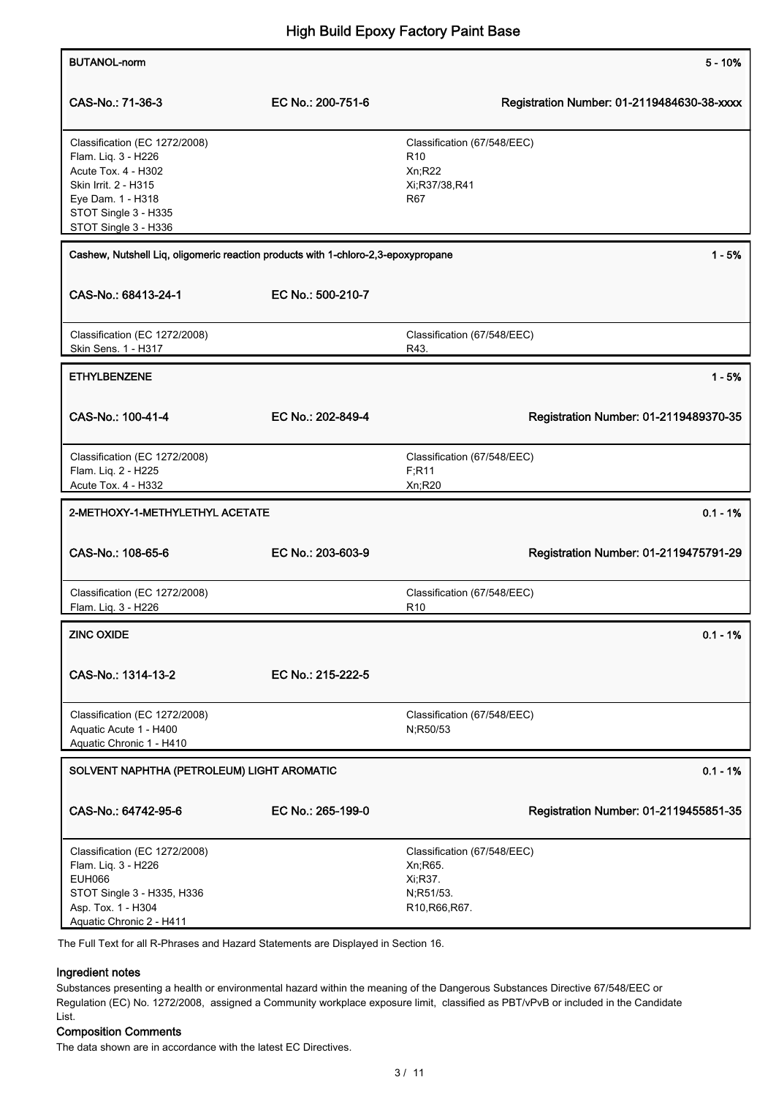| <b>BUTANOL-norm</b>                                                                                                                                                      |                   | $5 - 10%$                                                                               |
|--------------------------------------------------------------------------------------------------------------------------------------------------------------------------|-------------------|-----------------------------------------------------------------------------------------|
| CAS-No.: 71-36-3                                                                                                                                                         | EC No.: 200-751-6 | Registration Number: 01-2119484630-38-xxxx                                              |
| Classification (EC 1272/2008)<br>Flam. Liq. 3 - H226<br>Acute Tox. 4 - H302<br>Skin Irrit. 2 - H315<br>Eye Dam. 1 - H318<br>STOT Single 3 - H335<br>STOT Single 3 - H336 |                   | Classification (67/548/EEC)<br>R <sub>10</sub><br>Xn;R22<br>Xi;R37/38,R41<br><b>R67</b> |
| Cashew, Nutshell Liq, oligomeric reaction products with 1-chloro-2,3-epoxypropane                                                                                        |                   | $1 - 5%$                                                                                |
| CAS-No.: 68413-24-1                                                                                                                                                      | EC No.: 500-210-7 |                                                                                         |
| Classification (EC 1272/2008)<br>Skin Sens. 1 - H317                                                                                                                     |                   | Classification (67/548/EEC)<br>R43.                                                     |
| <b>ETHYLBENZENE</b>                                                                                                                                                      |                   | $1 - 5%$                                                                                |
| CAS-No.: 100-41-4                                                                                                                                                        | EC No.: 202-849-4 | Registration Number: 01-2119489370-35                                                   |
| Classification (EC 1272/2008)<br>Flam. Liq. 2 - H225<br>Acute Tox. 4 - H332                                                                                              |                   | Classification (67/548/EEC)<br>F; R11<br>Xn;R20                                         |
| 2-METHOXY-1-METHYLETHYL ACETATE                                                                                                                                          |                   | $0.1 - 1%$                                                                              |
| CAS-No.: 108-65-6                                                                                                                                                        | EC No.: 203-603-9 | Registration Number: 01-2119475791-29                                                   |
| Classification (EC 1272/2008)<br>Flam. Liq. 3 - H226                                                                                                                     |                   | Classification (67/548/EEC)<br>R <sub>10</sub>                                          |
| <b>ZINC OXIDE</b>                                                                                                                                                        |                   | $0.1 - 1%$                                                                              |
| CAS-No.: 1314-13-2                                                                                                                                                       | EC No.: 215-222-5 |                                                                                         |
| Classification (EC 1272/2008)<br>Aquatic Acute 1 - H400<br>Aquatic Chronic 1 - H410                                                                                      |                   | Classification (67/548/EEC)<br>N;R50/53                                                 |
| SOLVENT NAPHTHA (PETROLEUM) LIGHT AROMATIC                                                                                                                               |                   | $0.1 - 1%$                                                                              |
| CAS-No.: 64742-95-6                                                                                                                                                      | EC No.: 265-199-0 | Registration Number: 01-2119455851-35                                                   |
| Classification (EC 1272/2008)<br>Flam. Liq. 3 - H226<br><b>EUH066</b><br>STOT Single 3 - H335, H336<br>Asp. Tox. 1 - H304<br>Aquatic Chronic 2 - H411                    |                   | Classification (67/548/EEC)<br>Xn; R65.<br>Xi, R37.<br>N;R51/53.<br>R10, R66, R67.      |

The Full Text for all R-Phrases and Hazard Statements are Displayed in Section 16.

## Ingredient notes

Substances presenting a health or environmental hazard within the meaning of the Dangerous Substances Directive 67/548/EEC or Regulation (EC) No. 1272/2008, assigned a Community workplace exposure limit, classified as PBT/vPvB or included in the Candidate List.

## Composition Comments

The data shown are in accordance with the latest EC Directives.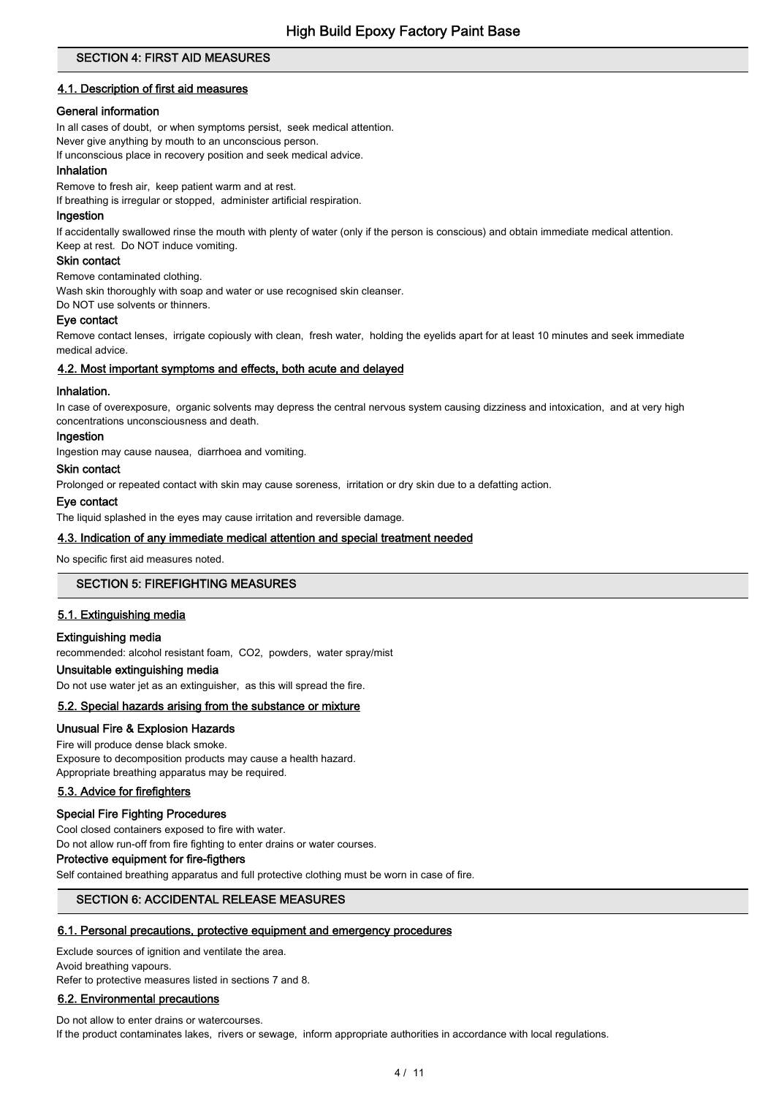## SECTION 4: FIRST AID MEASURES

## 4.1. Description of first aid measures

## General information

In all cases of doubt, or when symptoms persist, seek medical attention.

Never give anything by mouth to an unconscious person.

If unconscious place in recovery position and seek medical advice.

## Inhalation

Remove to fresh air, keep patient warm and at rest.

If breathing is irregular or stopped, administer artificial respiration.

## Ingestion

If accidentally swallowed rinse the mouth with plenty of water (only if the person is conscious) and obtain immediate medical attention. Keep at rest. Do NOT induce vomiting.

## Skin contact

Remove contaminated clothing.

Wash skin thoroughly with soap and water or use recognised skin cleanser.

Do NOT use solvents or thinners.

### Eye contact

Remove contact lenses, irrigate copiously with clean, fresh water, holding the eyelids apart for at least 10 minutes and seek immediate medical advice.

### 4.2. Most important symptoms and effects, both acute and delayed

#### Inhalation.

In case of overexposure, organic solvents may depress the central nervous system causing dizziness and intoxication, and at very high concentrations unconsciousness and death.

#### Ingestion

Ingestion may cause nausea, diarrhoea and vomiting.

## Skin contact

Prolonged or repeated contact with skin may cause soreness, irritation or dry skin due to a defatting action.

#### Eye contact

The liquid splashed in the eyes may cause irritation and reversible damage.

### 4.3. Indication of any immediate medical attention and special treatment needed

No specific first aid measures noted.

### SECTION 5: FIREFIGHTING MEASURES

# 5.1. Extinguishing media

### Extinguishing media

recommended: alcohol resistant foam, CO2, powders, water spray/mist

# Unsuitable extinguishing media

Do not use water jet as an extinguisher, as this will spread the fire.

## 5.2. Special hazards arising from the substance or mixture

### Unusual Fire & Explosion Hazards

Fire will produce dense black smoke. Exposure to decomposition products may cause a health hazard. Appropriate breathing apparatus may be required.

### 5.3. Advice for firefighters

### Special Fire Fighting Procedures

Cool closed containers exposed to fire with water.

Do not allow run-off from fire fighting to enter drains or water courses.

## Protective equipment for fire-figthers

Self contained breathing apparatus and full protective clothing must be worn in case of fire.

# SECTION 6: ACCIDENTAL RELEASE MEASURES

### 6.1. Personal precautions, protective equipment and emergency procedures

Exclude sources of ignition and ventilate the area.

Avoid breathing vapours. Refer to protective measures listed in sections 7 and 8.

### 6.2. Environmental precautions

Do not allow to enter drains or watercourses. If the product contaminates lakes, rivers or sewage, inform appropriate authorities in accordance with local regulations.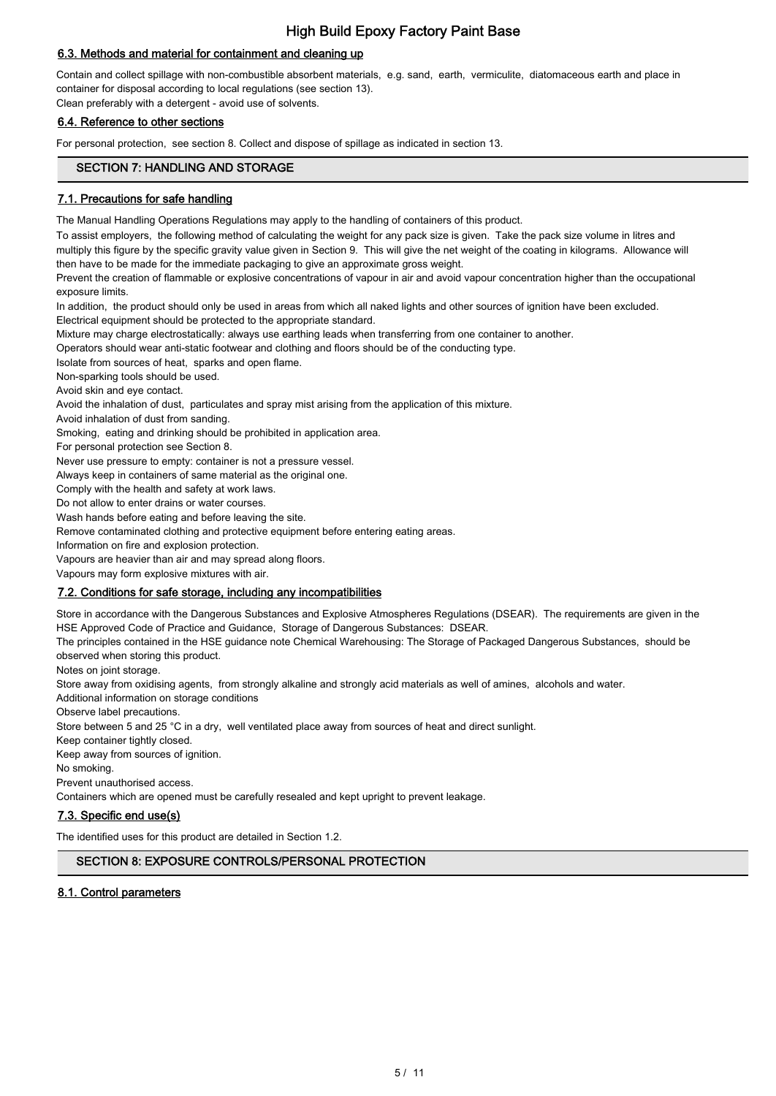# 6.3. Methods and material for containment and cleaning up

Contain and collect spillage with non-combustible absorbent materials, e.g. sand, earth, vermiculite, diatomaceous earth and place in container for disposal according to local regulations (see section 13).

Clean preferably with a detergent - avoid use of solvents.

## 6.4. Reference to other sections

For personal protection, see section 8. Collect and dispose of spillage as indicated in section 13.

# SECTION 7: HANDLING AND STORAGE

## 7.1. Precautions for safe handling

The Manual Handling Operations Regulations may apply to the handling of containers of this product.

To assist employers, the following method of calculating the weight for any pack size is given. Take the pack size volume in litres and multiply this figure by the specific gravity value given in Section 9. This will give the net weight of the coating in kilograms. Allowance will then have to be made for the immediate packaging to give an approximate gross weight.

Prevent the creation of flammable or explosive concentrations of vapour in air and avoid vapour concentration higher than the occupational exposure limits.

In addition, the product should only be used in areas from which all naked lights and other sources of ignition have been excluded.

Electrical equipment should be protected to the appropriate standard.

Mixture may charge electrostatically: always use earthing leads when transferring from one container to another.

Operators should wear anti-static footwear and clothing and floors should be of the conducting type.

Isolate from sources of heat, sparks and open flame.

Non-sparking tools should be used.

Avoid skin and eye contact.

Avoid the inhalation of dust, particulates and spray mist arising from the application of this mixture.

Avoid inhalation of dust from sanding.

Smoking, eating and drinking should be prohibited in application area.

For personal protection see Section 8.

Never use pressure to empty: container is not a pressure vessel.

Always keep in containers of same material as the original one.

Comply with the health and safety at work laws.

Do not allow to enter drains or water courses.

Wash hands before eating and before leaving the site.

Remove contaminated clothing and protective equipment before entering eating areas.

Information on fire and explosion protection.

Vapours are heavier than air and may spread along floors.

Vapours may form explosive mixtures with air.

### 7.2. Conditions for safe storage, including any incompatibilities

Store in accordance with the Dangerous Substances and Explosive Atmospheres Regulations (DSEAR). The requirements are given in the HSE Approved Code of Practice and Guidance, Storage of Dangerous Substances: DSEAR.

The principles contained in the HSE guidance note Chemical Warehousing: The Storage of Packaged Dangerous Substances, should be observed when storing this product.

Notes on joint storage.

Store away from oxidising agents, from strongly alkaline and strongly acid materials as well of amines, alcohols and water.

Additional information on storage conditions

Observe label precautions.

Store between 5 and 25 °C in a dry, well ventilated place away from sources of heat and direct sunlight.

Keep container tightly closed.

Keep away from sources of ignition.

No smoking.

Prevent unauthorised access.

Containers which are opened must be carefully resealed and kept upright to prevent leakage.

### 7.3. Specific end use(s)

The identified uses for this product are detailed in Section 1.2.

# SECTION 8: EXPOSURE CONTROLS/PERSONAL PROTECTION

## 8.1. Control parameters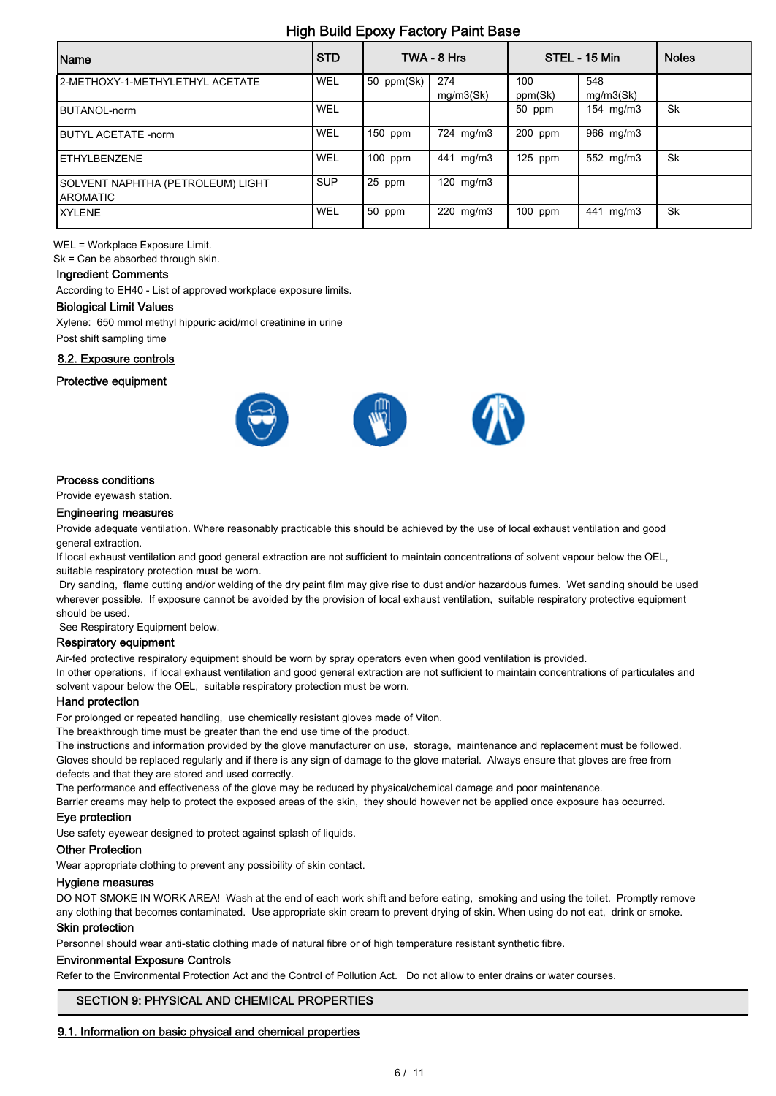| Name                                           | <b>STD</b> |            | TWA - 8 Hrs      |                | STEL - 15 Min    | <b>Notes</b> |
|------------------------------------------------|------------|------------|------------------|----------------|------------------|--------------|
| 2-METHOXY-1-METHYLETHYL ACETATE                | WEL        | 50 ppm(Sk) | 274<br>mg/m3(Sk) | 100<br>ppm(Sk) | 548<br>mg/m3(Sk) |              |
| BUTANOL-norm                                   | WEL        |            |                  | 50 ppm         | 154 mg/m3        | Sk           |
| <b>IBUTYL ACETATE -norm</b>                    | WEL        | 150 ppm    | 724 mg/m3        | 200 ppm        | 966 mg/m3        |              |
| IETHYLBENZENE                                  | WEL        | $100$ ppm  | 441 mg/m3        | $125$ ppm      | 552 mg/m3        | Sk           |
| SOLVENT NAPHTHA (PETROLEUM) LIGHT<br>IAROMATIC | <b>SUP</b> | 25 ppm     | 120 mg/m3        |                |                  |              |
| <b>IXYLENE</b>                                 | WEL        | 50 ppm     | 220 mg/m3        | $100$ ppm      | 441 mg/m3        | Sk           |

WEL = Workplace Exposure Limit.

Sk = Can be absorbed through skin.

## Ingredient Comments

According to EH40 - List of approved workplace exposure limits.

#### Biological Limit Values

Xylene: 650 mmol methyl hippuric acid/mol creatinine in urine Post shift sampling time

# 8.2. Exposure controls

# Protective equipment



## Process conditions

Provide eyewash station.

#### Engineering measures

Provide adequate ventilation. Where reasonably practicable this should be achieved by the use of local exhaust ventilation and good general extraction.

If local exhaust ventilation and good general extraction are not sufficient to maintain concentrations of solvent vapour below the OEL, suitable respiratory protection must be worn.

 Dry sanding, flame cutting and/or welding of the dry paint film may give rise to dust and/or hazardous fumes. Wet sanding should be used wherever possible. If exposure cannot be avoided by the provision of local exhaust ventilation, suitable respiratory protective equipment should be used.

See Respiratory Equipment below.

#### Respiratory equipment

Air-fed protective respiratory equipment should be worn by spray operators even when good ventilation is provided.

In other operations, if local exhaust ventilation and good general extraction are not sufficient to maintain concentrations of particulates and solvent vapour below the OEL, suitable respiratory protection must be worn.

#### Hand protection

For prolonged or repeated handling, use chemically resistant gloves made of Viton.

The breakthrough time must be greater than the end use time of the product.

The instructions and information provided by the glove manufacturer on use, storage, maintenance and replacement must be followed. Gloves should be replaced regularly and if there is any sign of damage to the glove material. Always ensure that gloves are free from defects and that they are stored and used correctly.

The performance and effectiveness of the glove may be reduced by physical/chemical damage and poor maintenance.

Barrier creams may help to protect the exposed areas of the skin, they should however not be applied once exposure has occurred.

#### Eye protection

Use safety eyewear designed to protect against splash of liquids.

#### Other Protection

Wear appropriate clothing to prevent any possibility of skin contact.

#### Hygiene measures

DO NOT SMOKE IN WORK AREA! Wash at the end of each work shift and before eating, smoking and using the toilet. Promptly remove any clothing that becomes contaminated. Use appropriate skin cream to prevent drying of skin. When using do not eat, drink or smoke.

#### Skin protection

Personnel should wear anti-static clothing made of natural fibre or of high temperature resistant synthetic fibre.

#### Environmental Exposure Controls

Refer to the Environmental Protection Act and the Control of Pollution Act. Do not allow to enter drains or water courses.

### SECTION 9: PHYSICAL AND CHEMICAL PROPERTIES

### 9.1. Information on basic physical and chemical properties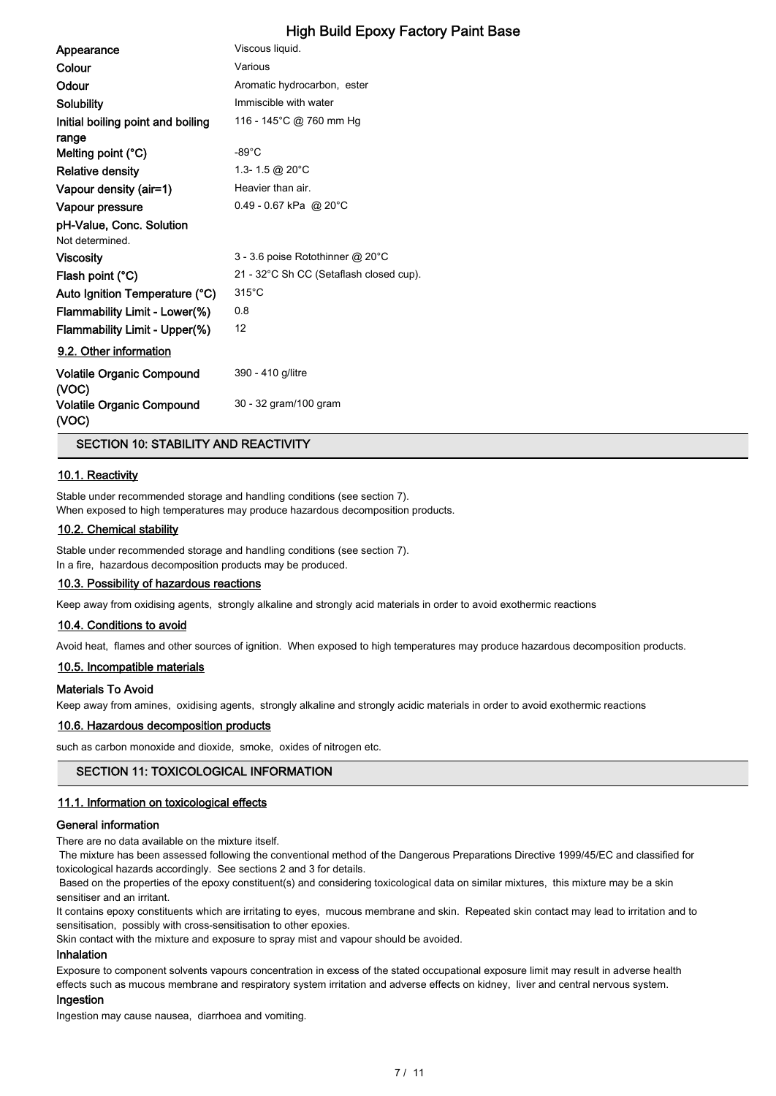| Appearance                                 | Viscous liquid.                         |
|--------------------------------------------|-----------------------------------------|
| Colour                                     | Various                                 |
| Odour                                      | Aromatic hydrocarbon, ester             |
| Solubility                                 | Immiscible with water                   |
| Initial boiling point and boiling<br>range | 116 - 145°C @ 760 mm Hg                 |
| Melting point (°C)                         | $-89^{\circ}$ C                         |
| <b>Relative density</b>                    | 1.3-1.5 @ 20 $^{\circ}$ C               |
| Vapour density (air=1)                     | Heavier than air.                       |
| Vapour pressure                            | $0.49 - 0.67$ kPa @ 20°C                |
| pH-Value, Conc. Solution                   |                                         |
| Not determined.                            |                                         |
| <b>Viscosity</b>                           | 3 - 3.6 poise Rotothinner @ 20°C        |
| Flash point (°C)                           | 21 - 32°C Sh CC (Setaflash closed cup). |
| Auto Ignition Temperature (°C)             | $315^{\circ}$ C                         |
| Flammability Limit - Lower(%)              | 0.8                                     |
| Flammability Limit - Upper(%)              | 12                                      |
| 9.2. Other information                     |                                         |
| <b>Volatile Organic Compound</b><br>(VOC)  | 390 - 410 g/litre                       |
| Volatile Organic Compound<br>(VOC)         | 30 - 32 gram/100 gram                   |

SECTION 10: STABILITY AND REACTIVITY

## 10.1. Reactivity

Stable under recommended storage and handling conditions (see section 7). When exposed to high temperatures may produce hazardous decomposition products.

### 10.2. Chemical stability

Stable under recommended storage and handling conditions (see section 7). In a fire, hazardous decomposition products may be produced.

#### 10.3. Possibility of hazardous reactions

Keep away from oxidising agents, strongly alkaline and strongly acid materials in order to avoid exothermic reactions

## 10.4. Conditions to avoid

Avoid heat, flames and other sources of ignition. When exposed to high temperatures may produce hazardous decomposition products.

#### 10.5. Incompatible materials

#### Materials To Avoid

Keep away from amines, oxidising agents, strongly alkaline and strongly acidic materials in order to avoid exothermic reactions

#### 10.6. Hazardous decomposition products

such as carbon monoxide and dioxide, smoke, oxides of nitrogen etc.

### SECTION 11: TOXICOLOGICAL INFORMATION

#### 11.1. Information on toxicological effects

### General information

There are no data available on the mixture itself.

 The mixture has been assessed following the conventional method of the Dangerous Preparations Directive 1999/45/EC and classified for toxicological hazards accordingly. See sections 2 and 3 for details.

 Based on the properties of the epoxy constituent(s) and considering toxicological data on similar mixtures, this mixture may be a skin sensitiser and an irritant.

It contains epoxy constituents which are irritating to eyes, mucous membrane and skin. Repeated skin contact may lead to irritation and to sensitisation, possibly with cross-sensitisation to other epoxies.

Skin contact with the mixture and exposure to spray mist and vapour should be avoided.

#### Inhalation

Exposure to component solvents vapours concentration in excess of the stated occupational exposure limit may result in adverse health effects such as mucous membrane and respiratory system irritation and adverse effects on kidney, liver and central nervous system.

#### Ingestion

Ingestion may cause nausea, diarrhoea and vomiting.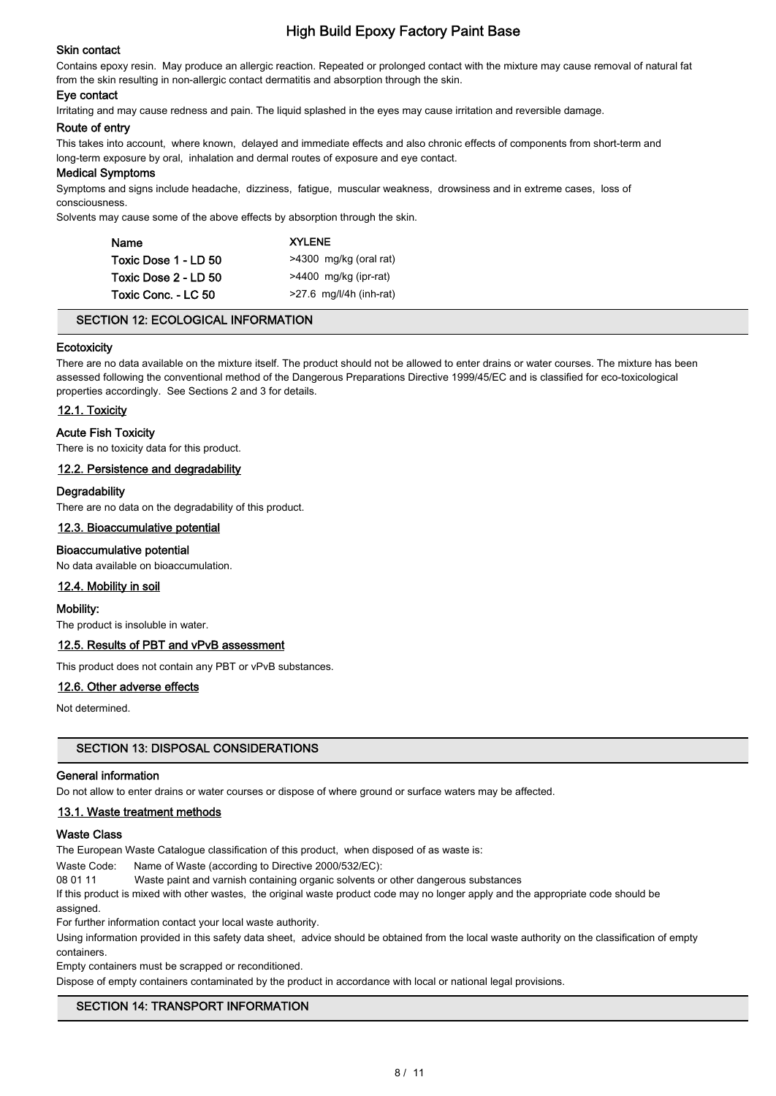# Skin contact

Contains epoxy resin. May produce an allergic reaction. Repeated or prolonged contact with the mixture may cause removal of natural fat from the skin resulting in non-allergic contact dermatitis and absorption through the skin.

## Eye contact

Irritating and may cause redness and pain. The liquid splashed in the eyes may cause irritation and reversible damage.

#### Route of entry

This takes into account, where known, delayed and immediate effects and also chronic effects of components from short-term and long-term exposure by oral, inhalation and dermal routes of exposure and eye contact.

#### Medical Symptoms

Symptoms and signs include headache, dizziness, fatigue, muscular weakness, drowsiness and in extreme cases, loss of consciousness.

Solvents may cause some of the above effects by absorption through the skin.

| <b>Name</b>          | <b>XYLENE</b>             |
|----------------------|---------------------------|
| Toxic Dose 1 - LD 50 | >4300 mg/kg (oral rat)    |
| Toxic Dose 2 - LD 50 | >4400 mg/kg (ipr-rat)     |
| Toxic Conc. - LC 50  | $>27.6$ mg/l/4h (inh-rat) |

# SECTION 12: ECOLOGICAL INFORMATION

### **Ecotoxicity**

There are no data available on the mixture itself. The product should not be allowed to enter drains or water courses. The mixture has been assessed following the conventional method of the Dangerous Preparations Directive 1999/45/EC and is classified for eco-toxicological properties accordingly. See Sections 2 and 3 for details.

### 12.1. Toxicity

### Acute Fish Toxicity

There is no toxicity data for this product.

#### 12.2. Persistence and degradability

### **Degradability**

There are no data on the degradability of this product.

#### 12.3. Bioaccumulative potential

### Bioaccumulative potential

No data available on bioaccumulation.

### 12.4. Mobility in soil

#### Mobility:

The product is insoluble in water.

### 12.5. Results of PBT and vPvB assessment

This product does not contain any PBT or vPvB substances.

#### 12.6. Other adverse effects

Not determined.

### SECTION 13: DISPOSAL CONSIDERATIONS

#### General information

Do not allow to enter drains or water courses or dispose of where ground or surface waters may be affected.

### 13.1. Waste treatment methods

#### Waste Class

The European Waste Catalogue classification of this product, when disposed of as waste is:

Waste Code: Name of Waste (according to Directive 2000/532/EC):

08 01 11 Waste paint and varnish containing organic solvents or other dangerous substances

If this product is mixed with other wastes, the original waste product code may no longer apply and the appropriate code should be assigned.

For further information contact your local waste authority.

Using information provided in this safety data sheet, advice should be obtained from the local waste authority on the classification of empty containers.

Empty containers must be scrapped or reconditioned.

Dispose of empty containers contaminated by the product in accordance with local or national legal provisions.

# SECTION 14: TRANSPORT INFORMATION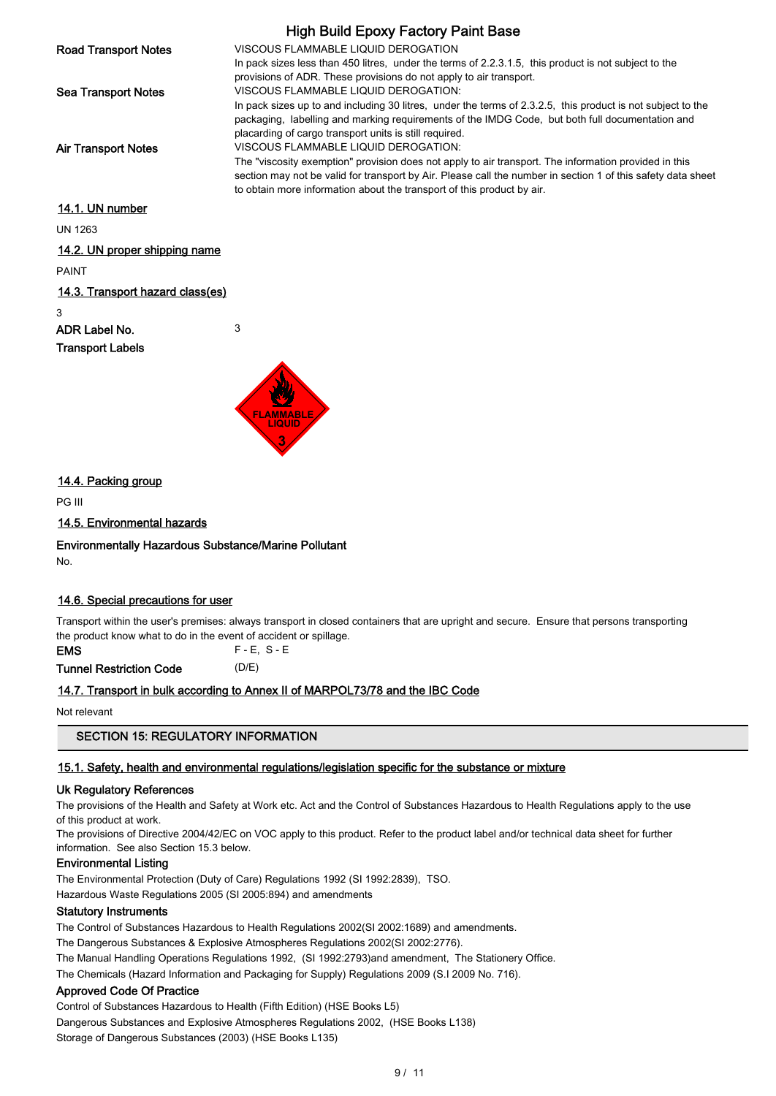|                                  | <b>High Build Epoxy Factory Paint Base</b>                                                                                                                                             |
|----------------------------------|----------------------------------------------------------------------------------------------------------------------------------------------------------------------------------------|
| <b>Road Transport Notes</b>      | VISCOUS FLAMMABLE LIQUID DEROGATION                                                                                                                                                    |
|                                  | In pack sizes less than 450 litres, under the terms of 2.2.3.1.5, this product is not subject to the<br>provisions of ADR. These provisions do not apply to air transport.             |
| <b>Sea Transport Notes</b>       | VISCOUS FLAMMABLE LIQUID DEROGATION:                                                                                                                                                   |
|                                  | In pack sizes up to and including 30 litres, under the terms of 2.3.2.5, this product is not subject to the                                                                            |
|                                  | packaging, labelling and marking requirements of the IMDG Code, but both full documentation and<br>placarding of cargo transport units is still required.                              |
| <b>Air Transport Notes</b>       | VISCOUS FLAMMABLE LIQUID DEROGATION:                                                                                                                                                   |
|                                  | The "viscosity exemption" provision does not apply to air transport. The information provided in this                                                                                  |
|                                  | section may not be valid for transport by Air. Please call the number in section 1 of this safety data sheet<br>to obtain more information about the transport of this product by air. |
|                                  |                                                                                                                                                                                        |
| 14.1. UN number                  |                                                                                                                                                                                        |
| <b>UN 1263</b>                   |                                                                                                                                                                                        |
| 14.2. UN proper shipping name    |                                                                                                                                                                                        |
| <b>PAINT</b>                     |                                                                                                                                                                                        |
| 14.3. Transport hazard class(es) |                                                                                                                                                                                        |
| 3                                |                                                                                                                                                                                        |
| ADR Label No.                    | 3                                                                                                                                                                                      |
| <b>Transport Labels</b>          |                                                                                                                                                                                        |
|                                  |                                                                                                                                                                                        |



# 14.4. Packing group

PG III

## 14.5. Environmental hazards

### Environmentally Hazardous Substance/Marine Pollutant

No.

## 14.6. Special precautions for user

Transport within the user's premises: always transport in closed containers that are upright and secure. Ensure that persons transporting the product know what to do in the event of accident or spillage.

EMS F - E, S - E

Tunnel Restriction Code (D/E)

## 14.7. Transport in bulk according to Annex II of MARPOL73/78 and the IBC Code

Not relevant

## SECTION 15: REGULATORY INFORMATION

### 15.1. Safety, health and environmental regulations/legislation specific for the substance or mixture

### Uk Regulatory References

The provisions of the Health and Safety at Work etc. Act and the Control of Substances Hazardous to Health Regulations apply to the use of this product at work.

The provisions of Directive 2004/42/EC on VOC apply to this product. Refer to the product label and/or technical data sheet for further information. See also Section 15.3 below.

# Environmental Listing

The Environmental Protection (Duty of Care) Regulations 1992 (SI 1992:2839), TSO.

Hazardous Waste Regulations 2005 (SI 2005:894) and amendments

# Statutory Instruments

The Control of Substances Hazardous to Health Regulations 2002(SI 2002:1689) and amendments.

The Dangerous Substances & Explosive Atmospheres Regulations 2002(SI 2002:2776).

The Manual Handling Operations Regulations 1992, (SI 1992:2793)and amendment, The Stationery Office.

The Chemicals (Hazard Information and Packaging for Supply) Regulations 2009 (S.I 2009 No. 716).

## Approved Code Of Practice

Control of Substances Hazardous to Health (Fifth Edition) (HSE Books L5)

Dangerous Substances and Explosive Atmospheres Regulations 2002, (HSE Books L138)

Storage of Dangerous Substances (2003) (HSE Books L135)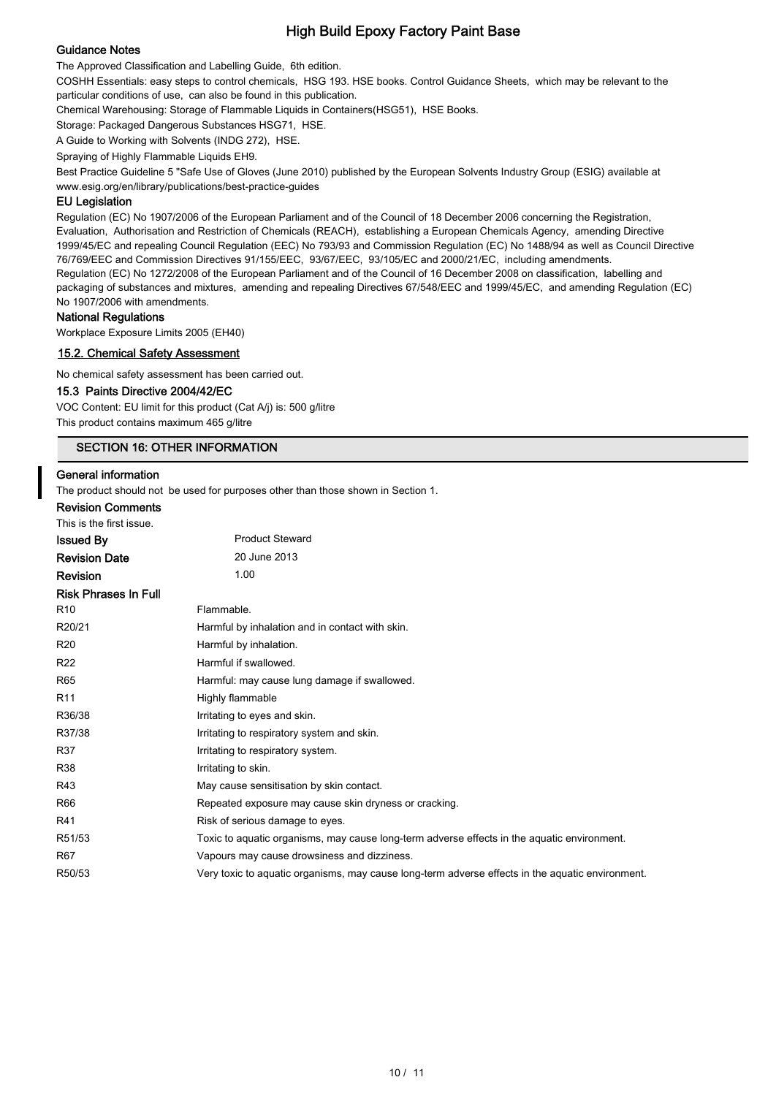# Guidance Notes

The Approved Classification and Labelling Guide, 6th edition.

COSHH Essentials: easy steps to control chemicals, HSG 193. HSE books. Control Guidance Sheets, which may be relevant to the particular conditions of use, can also be found in this publication.

Chemical Warehousing: Storage of Flammable Liquids in Containers(HSG51), HSE Books.

Storage: Packaged Dangerous Substances HSG71, HSE.

A Guide to Working with Solvents (INDG 272), HSE.

Spraying of Highly Flammable Liquids EH9.

Best Practice Guideline 5 "Safe Use of Gloves (June 2010) published by the European Solvents Industry Group (ESIG) available at www.esig.org/en/library/publications/best-practice-guides

## EU Legislation

Regulation (EC) No 1907/2006 of the European Parliament and of the Council of 18 December 2006 concerning the Registration, Evaluation, Authorisation and Restriction of Chemicals (REACH), establishing a European Chemicals Agency, amending Directive 1999/45/EC and repealing Council Regulation (EEC) No 793/93 and Commission Regulation (EC) No 1488/94 as well as Council Directive 76/769/EEC and Commission Directives 91/155/EEC, 93/67/EEC, 93/105/EC and 2000/21/EC, including amendments. Regulation (EC) No 1272/2008 of the European Parliament and of the Council of 16 December 2008 on classification, labelling and packaging of substances and mixtures, amending and repealing Directives 67/548/EEC and 1999/45/EC, and amending Regulation (EC) No 1907/2006 with amendments.

#### National Regulations

Workplace Exposure Limits 2005 (EH40)

### 15.2. Chemical Safety Assessment

No chemical safety assessment has been carried out.

#### 15.3 Paints Directive 2004/42/EC

VOC Content: EU limit for this product (Cat A/j) is: 500 g/litre

This product contains maximum 465 g/litre

# SECTION 16: OTHER INFORMATION

#### General information

The product should not be used for purposes other than those shown in Section 1.

## Revision Comments

| This is the first issue.    |                                                                                                  |
|-----------------------------|--------------------------------------------------------------------------------------------------|
| <b>Issued By</b>            | <b>Product Steward</b>                                                                           |
| <b>Revision Date</b>        | 20 June 2013                                                                                     |
| <b>Revision</b>             | 1.00                                                                                             |
| <b>Risk Phrases In Full</b> |                                                                                                  |
| R <sub>10</sub>             | Flammable.                                                                                       |
| R20/21                      | Harmful by inhalation and in contact with skin.                                                  |
| R <sub>20</sub>             | Harmful by inhalation.                                                                           |
| R <sub>22</sub>             | Harmful if swallowed.                                                                            |
| R65                         | Harmful: may cause lung damage if swallowed.                                                     |
| R <sub>11</sub>             | Highly flammable                                                                                 |
| R36/38                      | Irritating to eyes and skin.                                                                     |
| R37/38                      | Irritating to respiratory system and skin.                                                       |
| R37                         | Irritating to respiratory system.                                                                |
| <b>R38</b>                  | Irritating to skin.                                                                              |
| R43                         | May cause sensitisation by skin contact.                                                         |
| R66                         | Repeated exposure may cause skin dryness or cracking.                                            |
| R41                         | Risk of serious damage to eyes.                                                                  |
| R51/53                      | Toxic to aquatic organisms, may cause long-term adverse effects in the aquatic environment.      |
| R67                         | Vapours may cause drowsiness and dizziness.                                                      |
| R50/53                      | Very toxic to aquatic organisms, may cause long-term adverse effects in the aquatic environment. |